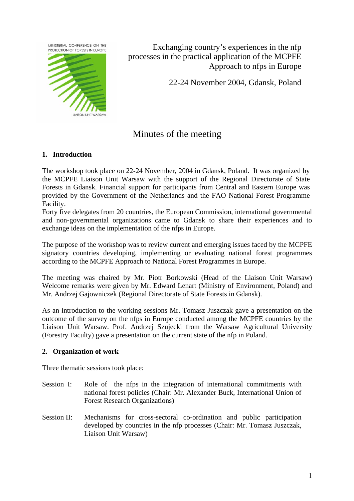MINISTERIAL CONFERENCE ON THE PROTECTION OF FORESTS IN EUROPE



Exchanging country's experiences in the nfp processes in the practical application of the MCPFE Approach to nfps in Europe

22-24 November 2004, Gdansk, Poland

# Minutes of the meeting

## **1. Introduction**

The workshop took place on 22-24 November, 2004 in Gdansk, Poland. It was organized by the MCPFE Liaison Unit Warsaw with the support of the Regional Directorate of State Forests in Gdansk. Financial support for participants from Central and Eastern Europe was provided by the Government of the Netherlands and the FAO National Forest Programme Facility.

Forty five delegates from 20 countries, the European Commission, international governmental and non-governmental organizations came to Gdansk to share their experiences and to exchange ideas on the implementation of the nfps in Europe.

The purpose of the workshop was to review current and emerging issues faced by the MCPFE signatory countries developing, implementing or evaluating national forest programmes according to the MCPFE Approach to National Forest Programmes in Europe.

The meeting was chaired by Mr. Piotr Borkowski (Head of the Liaison Unit Warsaw) Welcome remarks were given by Mr. Edward Lenart (Ministry of Environment, Poland) and Mr. Andrzej Gajowniczek (Regional Directorate of State Forests in Gdansk).

As an introduction to the working sessions Mr. Tomasz Juszczak gave a presentation on the outcome of the survey on the nfps in Europe conducted among the MCPFE countries by the Liaison Unit Warsaw. Prof. Andrzej Szujecki from the Warsaw Agricultural University (Forestry Faculty) gave a presentation on the current state of the nfp in Poland.

## **2. Organization of work**

Three thematic sessions took place:

- Session I: Role of the nfps in the integration of international commitments with national forest policies (Chair: Mr. Alexander Buck, International Union of Forest Research Organizations)
- Session II: Mechanisms for cross-sectoral co-ordination and public participation developed by countries in the nfp processes (Chair: Mr. Tomasz Juszczak, Liaison Unit Warsaw)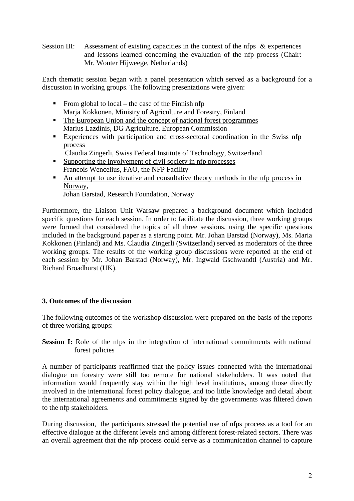Session III: Assessment of existing capacities in the context of the nfps & experiences and lessons learned concerning the evaluation of the nfp process (Chair: Mr. Wouter Hijweege, Netherlands)

Each thematic session began with a panel presentation which served as a background for a discussion in working groups. The following presentations were given:

- From global to local the case of the Finnish nfp Marja Kokkonen, Ministry of Agriculture and Forestry, Finland
- The European Union and the concept of national forest programmes Marius Lazdinis, DG Agriculture, European Commission
- Experiences with participation and cross-sectoral coordination in the Swiss nfp process
	- Claudia Zingerli, Swiss Federal Institute of Technology, Switzerland
- Supporting the involvement of civil society in nfp processes Francois Wencelius, FAO, the NFP Facility
- An attempt to use iterative and consultative theory methods in the nfp process in Norway, Johan Barstad, Research Foundation, Norway

Furthermore, the Liaison Unit Warsaw prepared a background document which included specific questions for each session. In order to facilitate the discussion, three working groups were formed that considered the topics of all three sessions, using the specific questions included in the background paper as a starting point. Mr. Johan Barstad (Norway), Ms. Maria Kokkonen (Finland) and Ms. Claudia Zingerli (Switzerland) served as moderators of the three working groups. The results of the working group discussions were reported at the end of each session by Mr. Johan Barstad (Norway), Mr. Ingwald Gschwandtl (Austria) and Mr. Richard Broadhurst (UK).

## **3. Outcomes of the discussion**

The following outcomes of the workshop discussion were prepared on the basis of the reports of three working groups:

**Session I:** Role of the nfps in the integration of international commitments with national forest policies

A number of participants reaffirmed that the policy issues connected with the international dialogue on forestry were still too remote for national stakeholders. It was noted that information would frequently stay within the high level institutions, among those directly involved in the international forest policy dialogue, and too little knowledge and detail about the international agreements and commitments signed by the governments was filtered down to the nfp stakeholders.

During discussion, the participants stressed the potential use of nfps process as a tool for an effective dialogue at the different levels and among different forest-related sectors. There was an overall agreement that the nfp process could serve as a communication channel to capture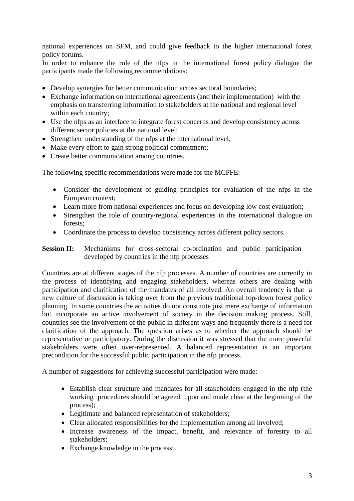national experiences on SFM, and could give feedback to the higher international forest policy forums.

In order to enhance the role of the nfps in the international forest policy dialogue the participants made the following recommendations:

- Develop synergies for better communication across sectoral boundaries;
- Exchange information on international agreements (and their implementation) with the emphasis on transferring information to stakeholders at the national and regional level within each country;
- Use the nfps as an interface to integrate forest concerns and develop consistency across different sector policies at the national level;
- Strengthen understanding of the nfps at the international level;
- Make every effort to gain strong political commitment;
- Create better communication among countries.

The following specific recommendations were made for the MCPFE:

- Consider the development of guiding principles for evaluation of the nfps in the European context;
- Learn more from national experiences and focus on developing low cost evaluation;
- Strengthen the role of country/regional experiences in the international dialogue on forests;
- Coordinate the process to develop consistency across different policy sectors.

#### **Session II:** Mechanisms for cross-sectoral co-ordination and public participation developed by countries in the nfp processes

Countries are at different stages of the nfp processes. A number of countries are currently in the process of identifying and engaging stakeholders, whereas others are dealing with participation and clarification of the mandates of all involved. An overall tendency is that a new culture of discussion is taking over from the previous traditional top-down forest policy planning. In some countries the activities do not constitute just mere exchange of information but incorporate an active involvement of society in the decision making process. Still, countries see the involvement of the public in different ways and frequently there is a need for clarification of the approach. The question arises as to whether the approach should be representative or participatory. During the discussion it was stressed that the more powerful stakeholders were often over-represented. A balanced representation is an important precondition for the successful public participation in the nfp process.

A number of suggestions for achieving successful participation were made:

- Establish clear structure and mandates for all stakeholders engaged in the nfp (the working procedures should be agreed upon and made clear at the beginning of the process);
- Legitimate and balanced representation of stakeholders;
- Clear allocated responsibilities for the implementation among all involved:
- Increase awareness of the impact, benefit, and relevance of forestry to all stakeholders;
- Exchange knowledge in the process;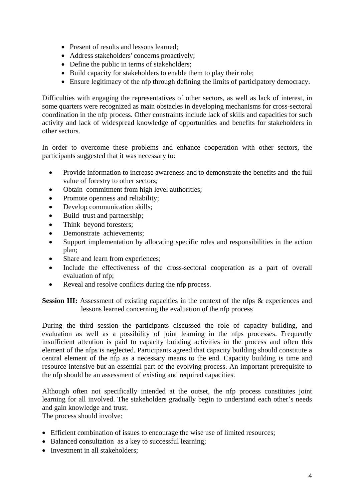- Present of results and lessons learned:
- Address stakeholders' concerns proactively;
- Define the public in terms of stakeholders;
- Build capacity for stakeholders to enable them to play their role;
- Ensure legitimacy of the nfp through defining the limits of participatory democracy.

Difficulties with engaging the representatives of other sectors, as well as lack of interest, in some quarters were recognized as main obstacles in developing mechanisms for cross-sectoral coordination in the nfp process. Other constraints include lack of skills and capacities for such activity and lack of widespread knowledge of opportunities and benefits for stakeholders in other sectors.

In order to overcome these problems and enhance cooperation with other sectors, the participants suggested that it was necessary to:

- Provide information to increase awareness and to demonstrate the benefits and the full value of forestry to other sectors;
- Obtain commitment from high level authorities;
- Promote openness and reliability;
- Develop communication skills:
- Build trust and partnership;
- Think beyond foresters:
- Demonstrate achievements;
- Support implementation by allocating specific roles and responsibilities in the action plan;
- Share and learn from experiences:
- Include the effectiveness of the cross-sectoral cooperation as a part of overall evaluation of nfp;
- Reveal and resolve conflicts during the nfp process.

**Session III:** Assessment of existing capacities in the context of the nfps & experiences and lessons learned concerning the evaluation of the nfp process

During the third session the participants discussed the role of capacity building, and evaluation as well as a possibility of joint learning in the nfps processes. Frequently insufficient attention is paid to capacity building activities in the process and often this element of the nfps is neglected. Participants agreed that capacity building should constitute a central element of the nfp as a necessary means to the end. Capacity building is time and resource intensive but an essential part of the evolving process. An important prerequisite to the nfp should be an assessment of existing and required capacities.

Although often not specifically intended at the outset, the nfp process constitutes joint learning for all involved. The stakeholders gradually begin to understand each other's needs and gain knowledge and trust.

The process should involve:

- Efficient combination of issues to encourage the wise use of limited resources;
- Balanced consultation as a key to successful learning;
- Investment in all stakeholders: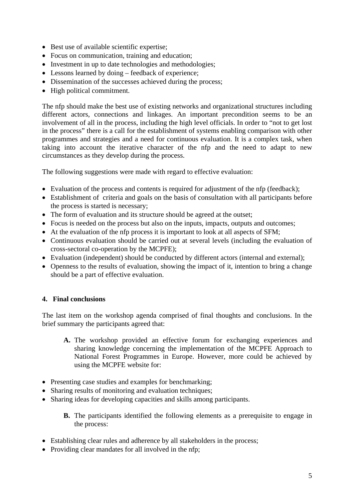- Best use of available scientific expertise;
- Focus on communication, training and education;
- Investment in up to date technologies and methodologies;
- Lessons learned by doing feedback of experience;
- Dissemination of the successes achieved during the process;
- High political commitment.

The nfp should make the best use of existing networks and organizational structures including different actors, connections and linkages. An important precondition seems to be an involvement of all in the process, including the high level officials. In order to "not to get lost in the process" there is a call for the establishment of systems enabling comparison with other programmes and strategies and a need for continuous evaluation. It is a complex task, when taking into account the iterative character of the nfp and the need to adapt to new circumstances as they develop during the process.

The following suggestions were made with regard to effective evaluation:

- Evaluation of the process and contents is required for adjustment of the nfp (feedback);
- Establishment of criteria and goals on the basis of consultation with all participants before the process is started is necessary;
- The form of evaluation and its structure should be agreed at the outset;
- Focus is needed on the process but also on the inputs, impacts, outputs and outcomes;
- At the evaluation of the nfp process it is important to look at all aspects of SFM;
- Continuous evaluation should be carried out at several levels (including the evaluation of cross-sectoral co-operation by the MCPFE);
- Evaluation (independent) should be conducted by different actors (internal and external);
- Openness to the results of evaluation, showing the impact of it, intention to bring a change should be a part of effective evaluation.

## **4. Final conclusions**

The last item on the workshop agenda comprised of final thoughts and conclusions. In the brief summary the participants agreed that:

- **A.** The workshop provided an effective forum for exchanging experiences and sharing knowledge concerning the implementation of the MCPFE Approach to National Forest Programmes in Europe. However, more could be achieved by using the MCPFE website for:
- Presenting case studies and examples for benchmarking;
- Sharing results of monitoring and evaluation techniques;
- Sharing ideas for developing capacities and skills among participants.
	- **B.** The participants identified the following elements as a prerequisite to engage in the process:
- Establishing clear rules and adherence by all stakeholders in the process;
- Providing clear mandates for all involved in the nfp;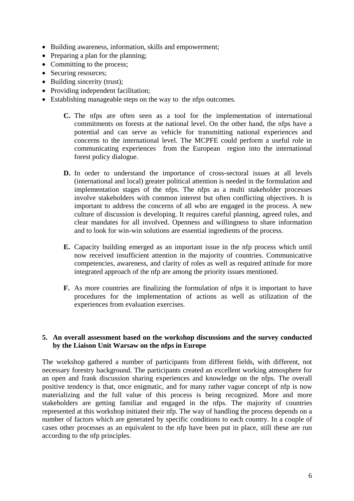- Building awareness, information, skills and empowerment;
- Preparing a plan for the planning;
- Committing to the process;
- Securing resources;
- Building sincerity (trust);
- Providing independent facilitation;
- Establishing manageable steps on the way to the nfps outcomes.
	- **C.** The nfps are often seen as a tool for the implementation of international commitments on forests at the national level. On the other hand, the nfps have a potential and can serve as vehicle for transmitting national experiences and concerns to the international level. The MCPFE could perform a useful role in communicating experiences from the European region into the international forest policy dialogue.
	- **D.** In order to understand the importance of cross-sectoral issues at all levels (international and local) greater political attention is needed in the formulation and implementation stages of the nfps. The nfps as a multi stakeholder processes involve stakeholders with common interest but often conflicting objectives. It is important to address the concerns of all who are engaged in the process. A new culture of discussion is developing. It requires careful planning, agreed rules, and clear mandates for all involved. Openness and willingness to share information and to look for win-win solutions are essential ingredients of the process.
	- **E.** Capacity building emerged as an important issue in the nfp process which until now received insufficient attention in the majority of countries. Communicative competencies, awareness, and clarity of roles as well as required attitude for more integrated approach of the nfp are among the priority issues mentioned.
	- **F.** As more countries are finalizing the formulation of nfps it is important to have procedures for the implementation of actions as well as utilization of the experiences from evaluation exercises.

#### **5. An overall assessment based on the workshop discussions and the survey conducted by the Liaison Unit Warsaw on the nfps in Europe**

The workshop gathered a number of participants from different fields, with different, not necessary forestry background. The participants created an excellent working atmosphere for an open and frank discussion sharing experiences and knowledge on the nfps. The overall positive tendency is that, once enigmatic, and for many rather vague concept of nfp is now materializing and the full value of this process is being recognized. More and more stakeholders are getting familiar and engaged in the nfps. The majority of countries represented at this workshop initiated their nfp. The way of handling the process depends on a number of factors which are generated by specific conditions to each country. In a couple of cases other processes as an equivalent to the nfp have been put in place, still these are run according to the nfp principles.